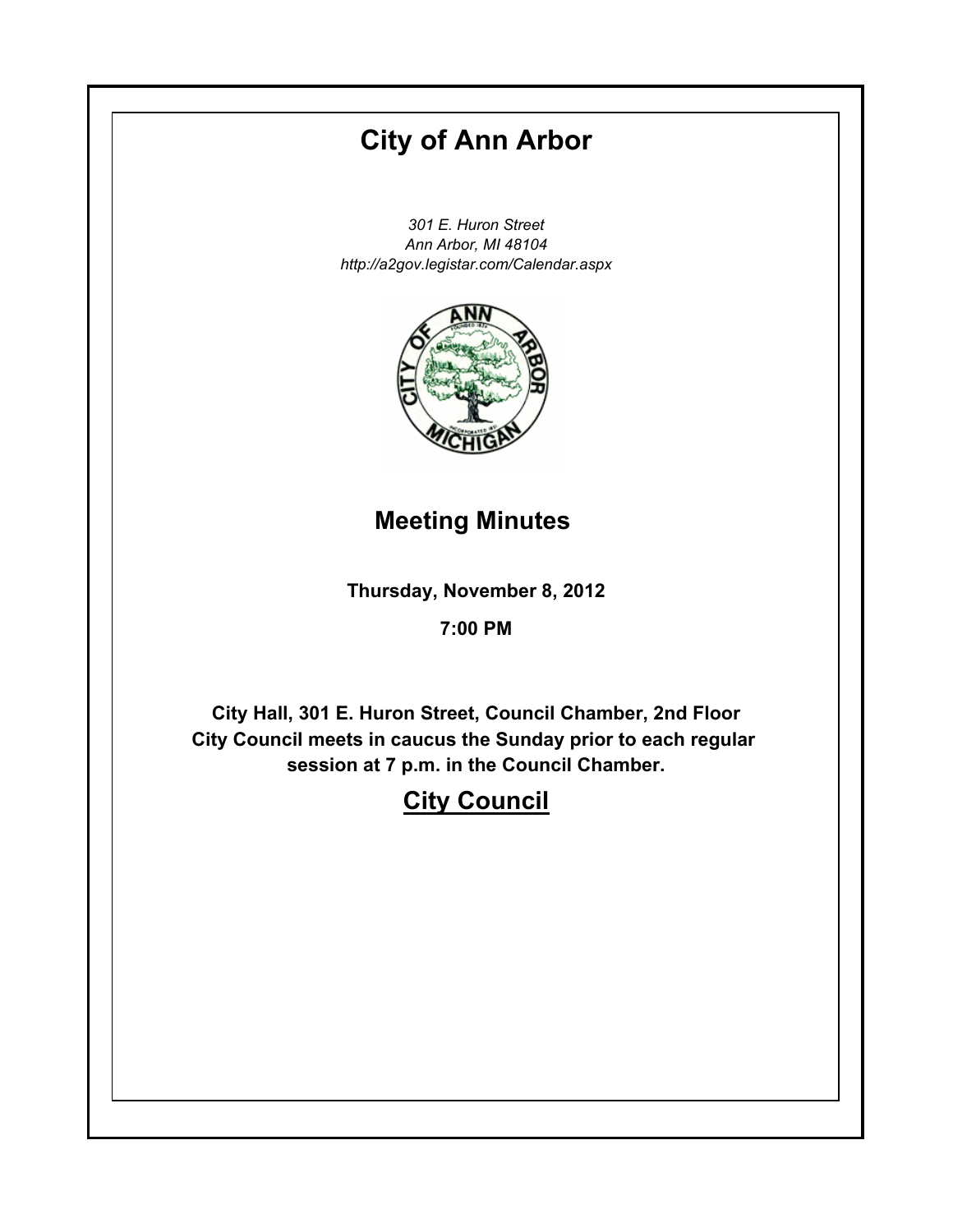# **City of Ann Arbor**

*301 E. Huron Street Ann Arbor, MI 48104 http://a2gov.legistar.com/Calendar.aspx*



# **Meeting Minutes**

**Thursday, November 8, 2012**

# **7:00 PM**

**City Hall, 301 E. Huron Street, Council Chamber, 2nd Floor City Council meets in caucus the Sunday prior to each regular session at 7 p.m. in the Council Chamber.**

# **City Council**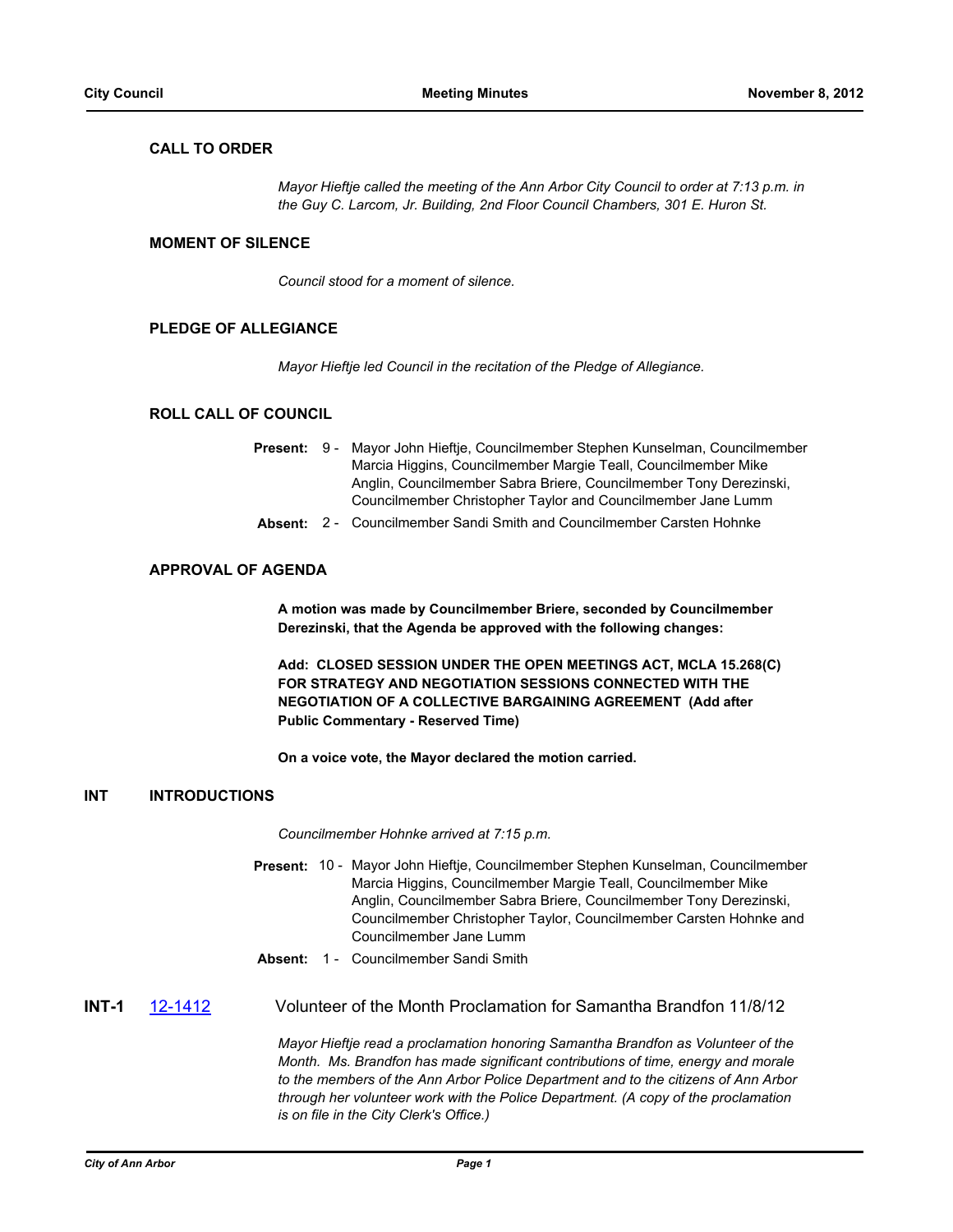# **CALL TO ORDER**

*Mayor Hieftje called the meeting of the Ann Arbor City Council to order at 7:13 p.m. in the Guy C. Larcom, Jr. Building, 2nd Floor Council Chambers, 301 E. Huron St.*

# **MOMENT OF SILENCE**

*Council stood for a moment of silence.*

# **PLEDGE OF ALLEGIANCE**

*Mayor Hieftje led Council in the recitation of the Pledge of Allegiance.*

# **ROLL CALL OF COUNCIL**

|  | <b>Present:</b> 9 - Mayor John Hieftje, Councilmember Stephen Kunselman, Councilmember |
|--|----------------------------------------------------------------------------------------|
|  | Marcia Higgins, Councilmember Margie Teall, Councilmember Mike                         |
|  | Anglin, Councilmember Sabra Briere, Councilmember Tony Derezinski,                     |
|  | Councilmember Christopher Taylor and Councilmember Jane Lumm                           |

**Absent:** 2 - Councilmember Sandi Smith and Councilmember Carsten Hohnke

# **APPROVAL OF AGENDA**

**A motion was made by Councilmember Briere, seconded by Councilmember Derezinski, that the Agenda be approved with the following changes:**

**Add: CLOSED SESSION UNDER THE OPEN MEETINGS ACT, MCLA 15.268(C) FOR STRATEGY AND NEGOTIATION SESSIONS CONNECTED WITH THE NEGOTIATION OF A COLLECTIVE BARGAINING AGREEMENT (Add after Public Commentary - Reserved Time)**

**On a voice vote, the Mayor declared the motion carried.**

#### **INT INTRODUCTIONS**

*Councilmember Hohnke arrived at 7:15 p.m.*

- Present: 10 Mayor John Hieftje, Councilmember Stephen Kunselman, Councilmember Marcia Higgins, Councilmember Margie Teall, Councilmember Mike Anglin, Councilmember Sabra Briere, Councilmember Tony Derezinski, Councilmember Christopher Taylor, Councilmember Carsten Hohnke and Councilmember Jane Lumm
- **Absent:** 1 Councilmember Sandi Smith
- **INT-1** [12-1412](http://a2gov.legistar.com/gateway.aspx/matter.aspx?key=9752) Volunteer of the Month Proclamation for Samantha Brandfon 11/8/12

*Mayor Hieftje read a proclamation honoring Samantha Brandfon as Volunteer of the Month. Ms. Brandfon has made significant contributions of time, energy and morale to the members of the Ann Arbor Police Department and to the citizens of Ann Arbor through her volunteer work with the Police Department. (A copy of the proclamation is on file in the City Clerk's Office.)*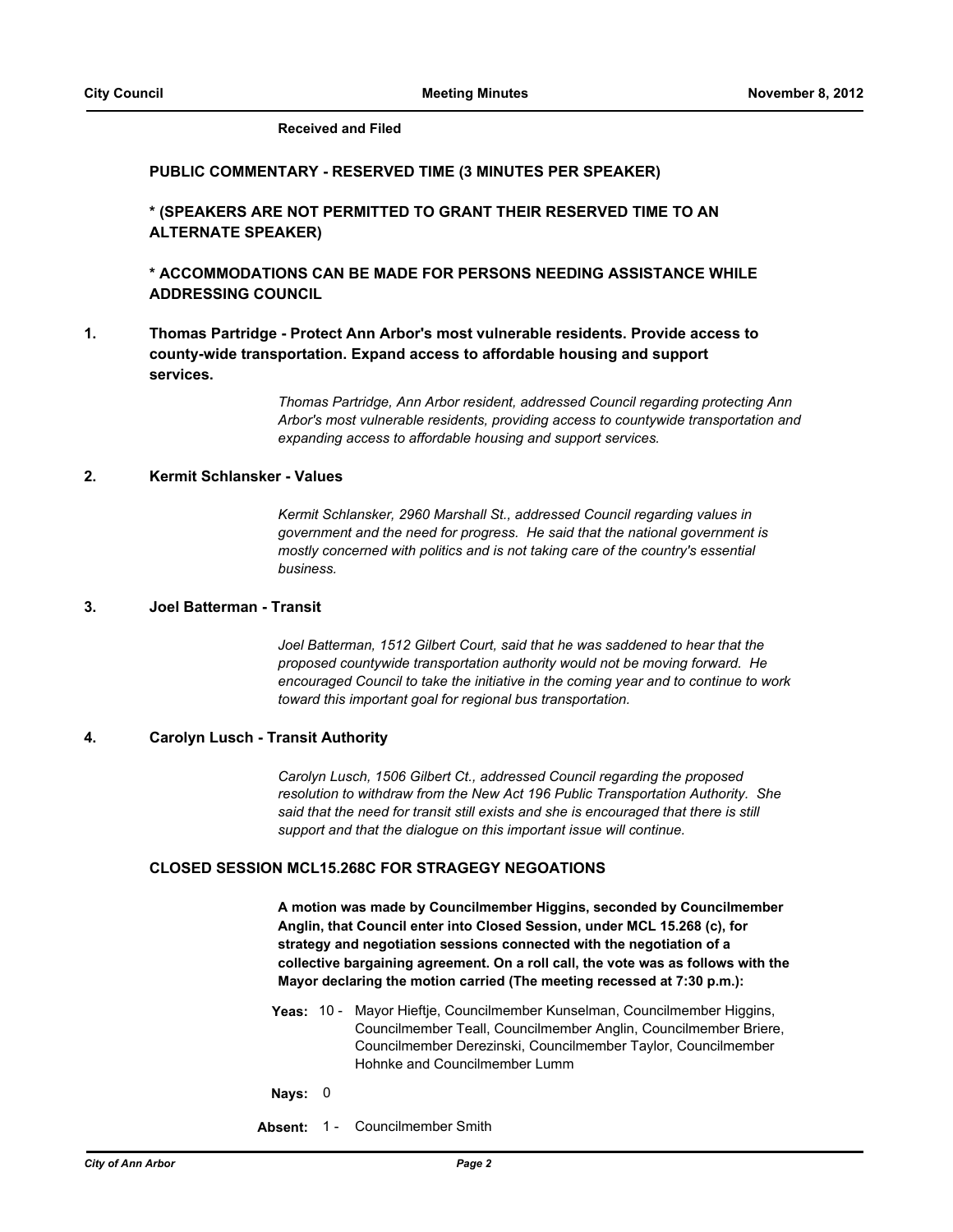#### **Received and Filed**

#### **PUBLIC COMMENTARY - RESERVED TIME (3 MINUTES PER SPEAKER)**

**\* (SPEAKERS ARE NOT PERMITTED TO GRANT THEIR RESERVED TIME TO AN ALTERNATE SPEAKER)**

**\* ACCOMMODATIONS CAN BE MADE FOR PERSONS NEEDING ASSISTANCE WHILE ADDRESSING COUNCIL**

**Thomas Partridge - Protect Ann Arbor's most vulnerable residents. Provide access to county-wide transportation. Expand access to affordable housing and support services. 1.**

> *Thomas Partridge, Ann Arbor resident, addressed Council regarding protecting Ann Arbor's most vulnerable residents, providing access to countywide transportation and expanding access to affordable housing and support services.*

# **2. Kermit Schlansker - Values**

*Kermit Schlansker, 2960 Marshall St., addressed Council regarding values in government and the need for progress. He said that the national government is mostly concerned with politics and is not taking care of the country's essential business.*

# **3. Joel Batterman - Transit**

*Joel Batterman, 1512 Gilbert Court, said that he was saddened to hear that the proposed countywide transportation authority would not be moving forward. He encouraged Council to take the initiative in the coming year and to continue to work toward this important goal for regional bus transportation.*

#### **4. Carolyn Lusch - Transit Authority**

*Carolyn Lusch, 1506 Gilbert Ct., addressed Council regarding the proposed resolution to withdraw from the New Act 196 Public Transportation Authority. She said that the need for transit still exists and she is encouraged that there is still support and that the dialogue on this important issue will continue.*

### **CLOSED SESSION MCL15.268C FOR STRAGEGY NEGOATIONS**

**A motion was made by Councilmember Higgins, seconded by Councilmember Anglin, that Council enter into Closed Session, under MCL 15.268 (c), for strategy and negotiation sessions connected with the negotiation of a collective bargaining agreement. On a roll call, the vote was as follows with the Mayor declaring the motion carried (The meeting recessed at 7:30 p.m.):**

- Yeas: 10 Mayor Hieftje, Councilmember Kunselman, Councilmember Higgins, Councilmember Teall, Councilmember Anglin, Councilmember Briere, Councilmember Derezinski, Councilmember Taylor, Councilmember Hohnke and Councilmember Lumm
- **Nays:** 0
- **Absent:** 1 Councilmember Smith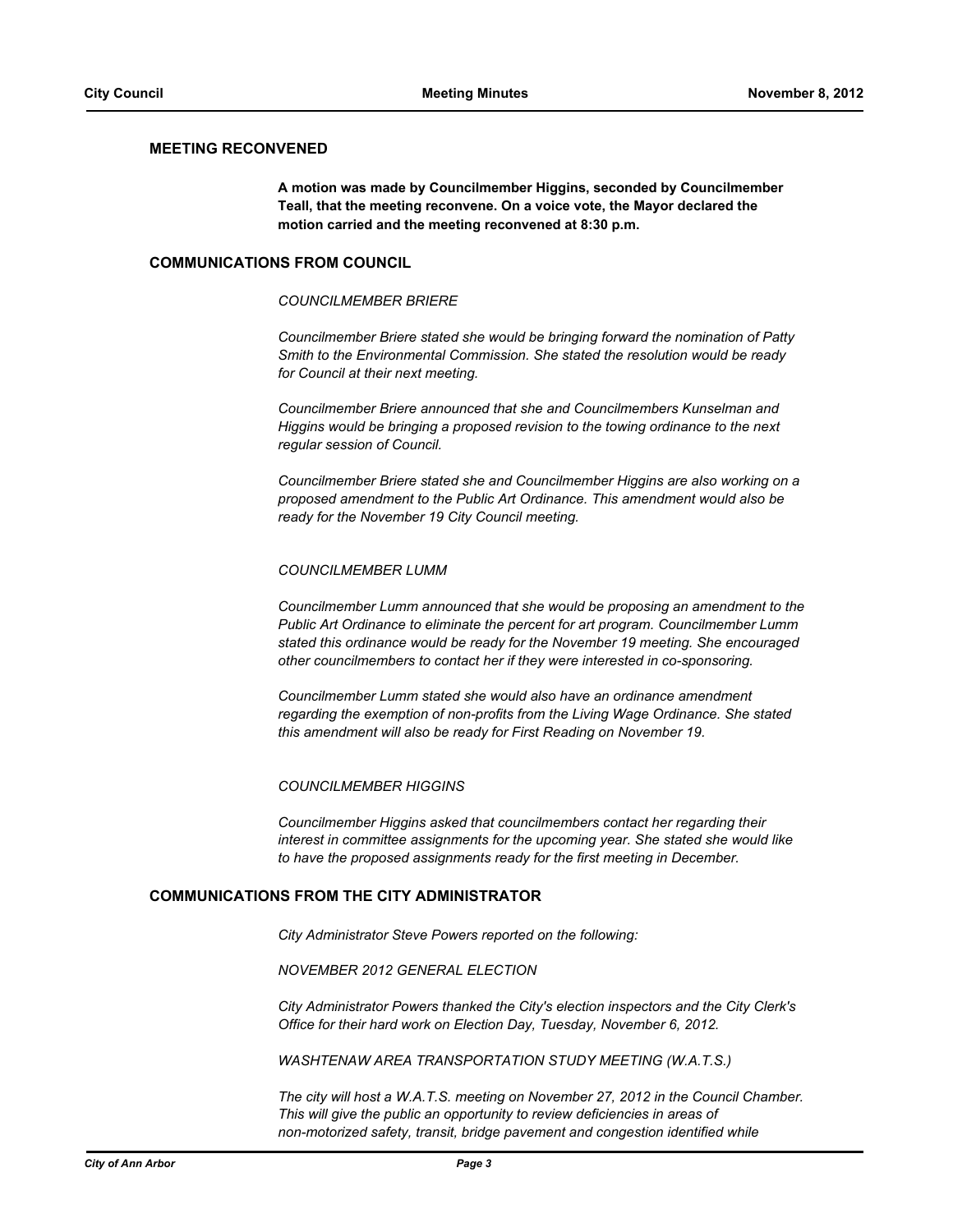#### **MEETING RECONVENED**

**A motion was made by Councilmember Higgins, seconded by Councilmember Teall, that the meeting reconvene. On a voice vote, the Mayor declared the motion carried and the meeting reconvened at 8:30 p.m.**

#### **COMMUNICATIONS FROM COUNCIL**

#### *COUNCILMEMBER BRIERE*

*Councilmember Briere stated she would be bringing forward the nomination of Patty Smith to the Environmental Commission. She stated the resolution would be ready for Council at their next meeting.*

*Councilmember Briere announced that she and Councilmembers Kunselman and Higgins would be bringing a proposed revision to the towing ordinance to the next regular session of Council.*

*Councilmember Briere stated she and Councilmember Higgins are also working on a proposed amendment to the Public Art Ordinance. This amendment would also be ready for the November 19 City Council meeting.*

#### *COUNCILMEMBER LUMM*

*Councilmember Lumm announced that she would be proposing an amendment to the Public Art Ordinance to eliminate the percent for art program. Councilmember Lumm stated this ordinance would be ready for the November 19 meeting. She encouraged other councilmembers to contact her if they were interested in co-sponsoring.*

*Councilmember Lumm stated she would also have an ordinance amendment regarding the exemption of non-profits from the Living Wage Ordinance. She stated this amendment will also be ready for First Reading on November 19.*

#### *COUNCILMEMBER HIGGINS*

*Councilmember Higgins asked that councilmembers contact her regarding their interest in committee assignments for the upcoming year. She stated she would like to have the proposed assignments ready for the first meeting in December.*

#### **COMMUNICATIONS FROM THE CITY ADMINISTRATOR**

*City Administrator Steve Powers reported on the following:*

#### *NOVEMBER 2012 GENERAL ELECTION*

*City Administrator Powers thanked the City's election inspectors and the City Clerk's Office for their hard work on Election Day, Tuesday, November 6, 2012.* 

*WASHTENAW AREA TRANSPORTATION STUDY MEETING (W.A.T.S.)*

*The city will host a W.A.T.S. meeting on November 27, 2012 in the Council Chamber. This will give the public an opportunity to review deficiencies in areas of non-motorized safety, transit, bridge pavement and congestion identified while*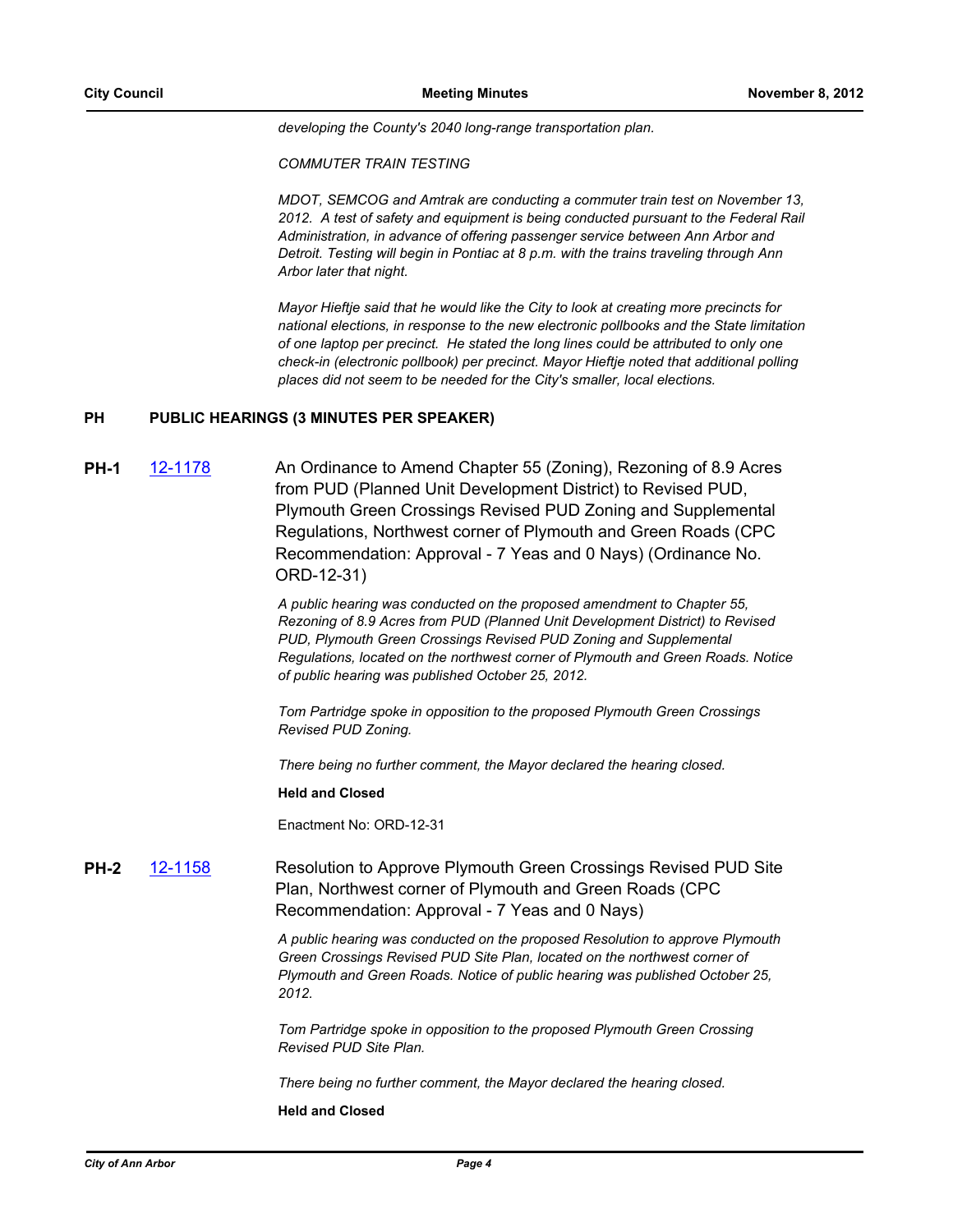*developing the County's 2040 long-range transportation plan.* 

*COMMUTER TRAIN TESTING*

*MDOT, SEMCOG and Amtrak are conducting a commuter train test on November 13, 2012. A test of safety and equipment is being conducted pursuant to the Federal Rail Administration, in advance of offering passenger service between Ann Arbor and Detroit. Testing will begin in Pontiac at 8 p.m. with the trains traveling through Ann Arbor later that night.* 

*Mayor Hieftje said that he would like the City to look at creating more precincts for national elections, in response to the new electronic pollbooks and the State limitation of one laptop per precinct. He stated the long lines could be attributed to only one check-in (electronic pollbook) per precinct. Mayor Hieftje noted that additional polling places did not seem to be needed for the City's smaller, local elections.*

# **PH PUBLIC HEARINGS (3 MINUTES PER SPEAKER)**

**PH-1** [12-1178](http://a2gov.legistar.com/gateway.aspx/matter.aspx?key=9498) An Ordinance to Amend Chapter 55 (Zoning), Rezoning of 8.9 Acres from PUD (Planned Unit Development District) to Revised PUD, Plymouth Green Crossings Revised PUD Zoning and Supplemental Regulations, Northwest corner of Plymouth and Green Roads (CPC Recommendation: Approval - 7 Yeas and 0 Nays) (Ordinance No. ORD-12-31)

> *A public hearing was conducted on the proposed amendment to Chapter 55, Rezoning of 8.9 Acres from PUD (Planned Unit Development District) to Revised PUD, Plymouth Green Crossings Revised PUD Zoning and Supplemental Regulations, located on the northwest corner of Plymouth and Green Roads. Notice of public hearing was published October 25, 2012.*

*Tom Partridge spoke in opposition to the proposed Plymouth Green Crossings Revised PUD Zoning.*

*There being no further comment, the Mayor declared the hearing closed.*

**Held and Closed**

Enactment No: ORD-12-31

**PH-2** [12-1158](http://a2gov.legistar.com/gateway.aspx/matter.aspx?key=9476) Resolution to Approve Plymouth Green Crossings Revised PUD Site Plan, Northwest corner of Plymouth and Green Roads (CPC Recommendation: Approval - 7 Yeas and 0 Nays)

> *A public hearing was conducted on the proposed Resolution to approve Plymouth Green Crossings Revised PUD Site Plan, located on the northwest corner of Plymouth and Green Roads. Notice of public hearing was published October 25, 2012.*

*Tom Partridge spoke in opposition to the proposed Plymouth Green Crossing Revised PUD Site Plan.*

*There being no further comment, the Mayor declared the hearing closed.*

**Held and Closed**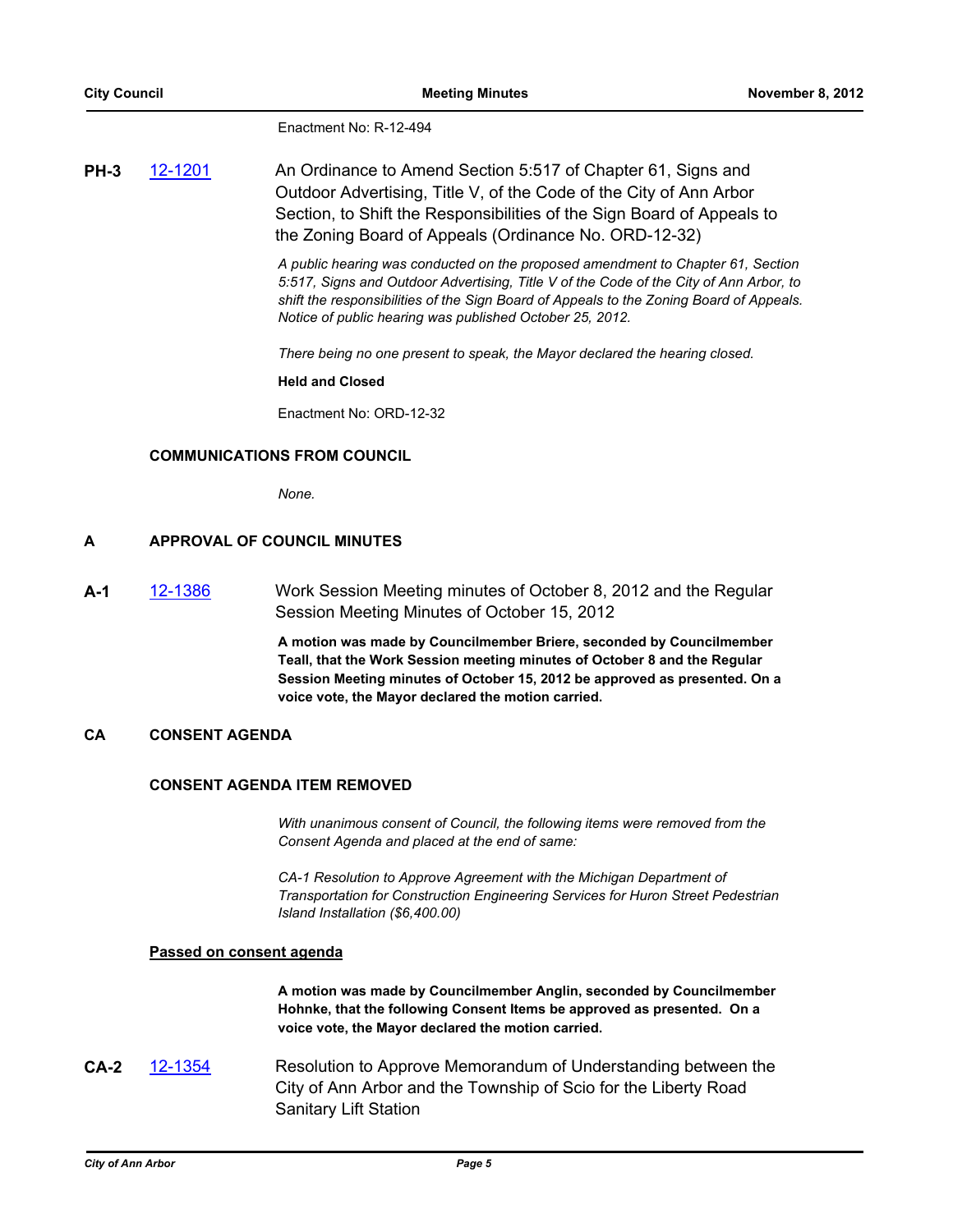Enactment No: R-12-494

**PH-3** [12-1201](http://a2gov.legistar.com/gateway.aspx/matter.aspx?key=9525) An Ordinance to Amend Section 5:517 of Chapter 61, Signs and Outdoor Advertising, Title V, of the Code of the City of Ann Arbor Section, to Shift the Responsibilities of the Sign Board of Appeals to the Zoning Board of Appeals (Ordinance No. ORD-12-32)

> *A public hearing was conducted on the proposed amendment to Chapter 61, Section 5:517, Signs and Outdoor Advertising, Title V of the Code of the City of Ann Arbor, to shift the responsibilities of the Sign Board of Appeals to the Zoning Board of Appeals. Notice of public hearing was published October 25, 2012.*

*There being no one present to speak, the Mayor declared the hearing closed.*

**Held and Closed**

Enactment No: ORD-12-32

#### **COMMUNICATIONS FROM COUNCIL**

*None.*

#### **A APPROVAL OF COUNCIL MINUTES**

**A-1** [12-1386](http://a2gov.legistar.com/gateway.aspx/matter.aspx?key=9708) Work Session Meeting minutes of October 8, 2012 and the Regular Session Meeting Minutes of October 15, 2012

> **A motion was made by Councilmember Briere, seconded by Councilmember Teall, that the Work Session meeting minutes of October 8 and the Regular Session Meeting minutes of October 15, 2012 be approved as presented. On a voice vote, the Mayor declared the motion carried.**

# **CA CONSENT AGENDA**

#### **CONSENT AGENDA ITEM REMOVED**

*With unanimous consent of Council, the following items were removed from the Consent Agenda and placed at the end of same:*

*CA-1 Resolution to Approve Agreement with the Michigan Department of Transportation for Construction Engineering Services for Huron Street Pedestrian Island Installation (\$6,400.00)*

#### **Passed on consent agenda**

**A motion was made by Councilmember Anglin, seconded by Councilmember Hohnke, that the following Consent Items be approved as presented. On a voice vote, the Mayor declared the motion carried.**

**CA-2** [12-1354](http://a2gov.legistar.com/gateway.aspx/matter.aspx?key=9673) Resolution to Approve Memorandum of Understanding between the City of Ann Arbor and the Township of Scio for the Liberty Road Sanitary Lift Station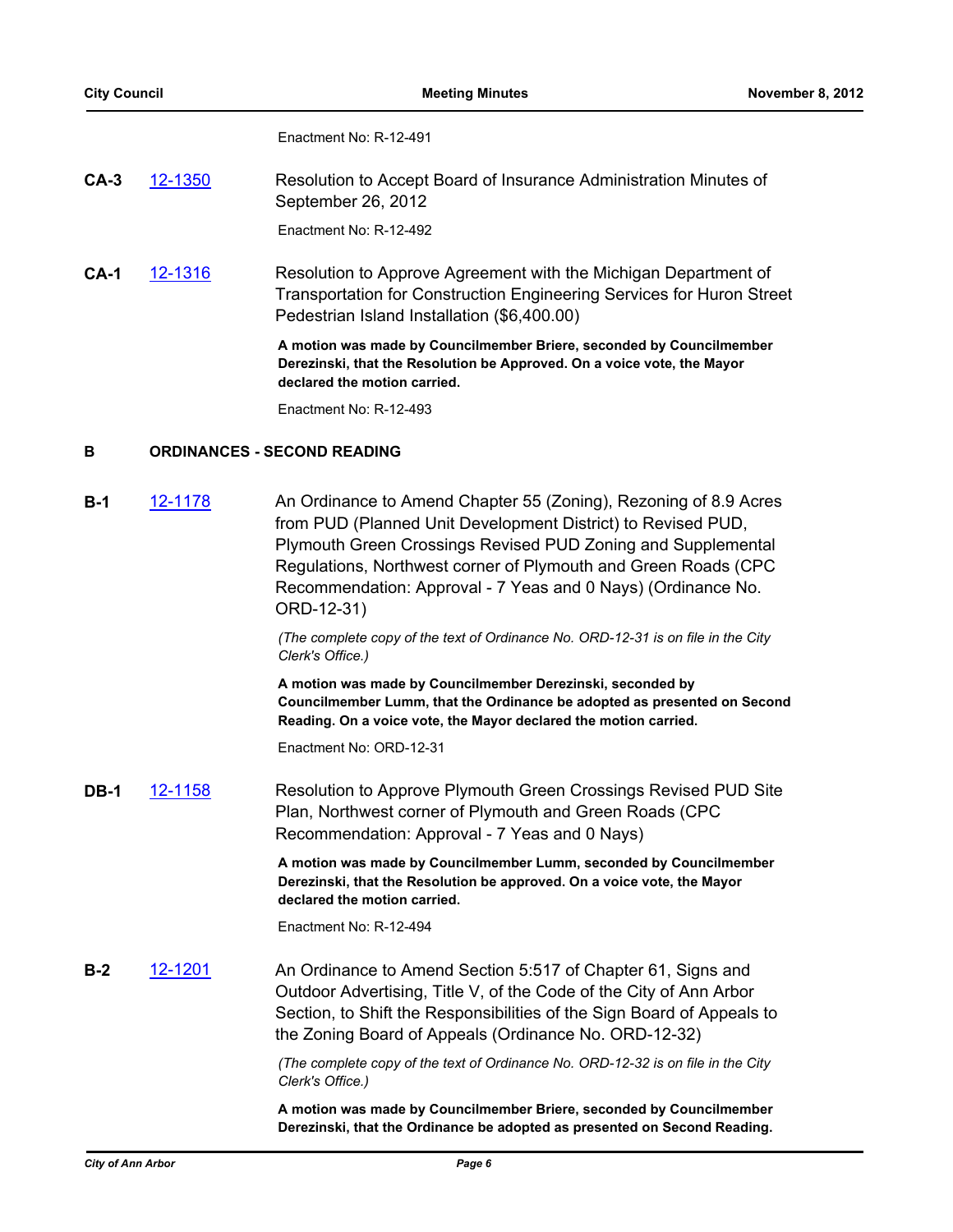Enactment No: R-12-491

| $CA-3$ | 12-1350 | Resolution to Accept Board of Insurance Administration Minutes of |
|--------|---------|-------------------------------------------------------------------|
|        |         | September 26, 2012                                                |

Enactment No: R-12-492

**CA-1** [12-1316](http://a2gov.legistar.com/gateway.aspx/matter.aspx?key=9635) Resolution to Approve Agreement with the Michigan Department of Transportation for Construction Engineering Services for Huron Street Pedestrian Island Installation (\$6,400.00)

> **A motion was made by Councilmember Briere, seconded by Councilmember Derezinski, that the Resolution be Approved. On a voice vote, the Mayor declared the motion carried.**

Enactment No: R-12-493

#### **B ORDINANCES - SECOND READING**

**B-1** [12-1178](http://a2gov.legistar.com/gateway.aspx/matter.aspx?key=9498) An Ordinance to Amend Chapter 55 (Zoning), Rezoning of 8.9 Acres from PUD (Planned Unit Development District) to Revised PUD, Plymouth Green Crossings Revised PUD Zoning and Supplemental Regulations, Northwest corner of Plymouth and Green Roads (CPC Recommendation: Approval - 7 Yeas and 0 Nays) (Ordinance No. ORD-12-31)

> *(The complete copy of the text of Ordinance No. ORD-12-31 is on file in the City Clerk's Office.)*

**A motion was made by Councilmember Derezinski, seconded by Councilmember Lumm, that the Ordinance be adopted as presented on Second Reading. On a voice vote, the Mayor declared the motion carried.**

Enactment No: ORD-12-31

**DB-1** [12-1158](http://a2gov.legistar.com/gateway.aspx/matter.aspx?key=9476) Resolution to Approve Plymouth Green Crossings Revised PUD Site Plan, Northwest corner of Plymouth and Green Roads (CPC Recommendation: Approval - 7 Yeas and 0 Nays)

> **A motion was made by Councilmember Lumm, seconded by Councilmember Derezinski, that the Resolution be approved. On a voice vote, the Mayor declared the motion carried.**

Enactment No: R-12-494

**B-2** [12-1201](http://a2gov.legistar.com/gateway.aspx/matter.aspx?key=9525) An Ordinance to Amend Section 5:517 of Chapter 61, Signs and Outdoor Advertising, Title V, of the Code of the City of Ann Arbor Section, to Shift the Responsibilities of the Sign Board of Appeals to the Zoning Board of Appeals (Ordinance No. ORD-12-32)

> *(The complete copy of the text of Ordinance No. ORD-12-32 is on file in the City Clerk's Office.)*

> **A motion was made by Councilmember Briere, seconded by Councilmember Derezinski, that the Ordinance be adopted as presented on Second Reading.**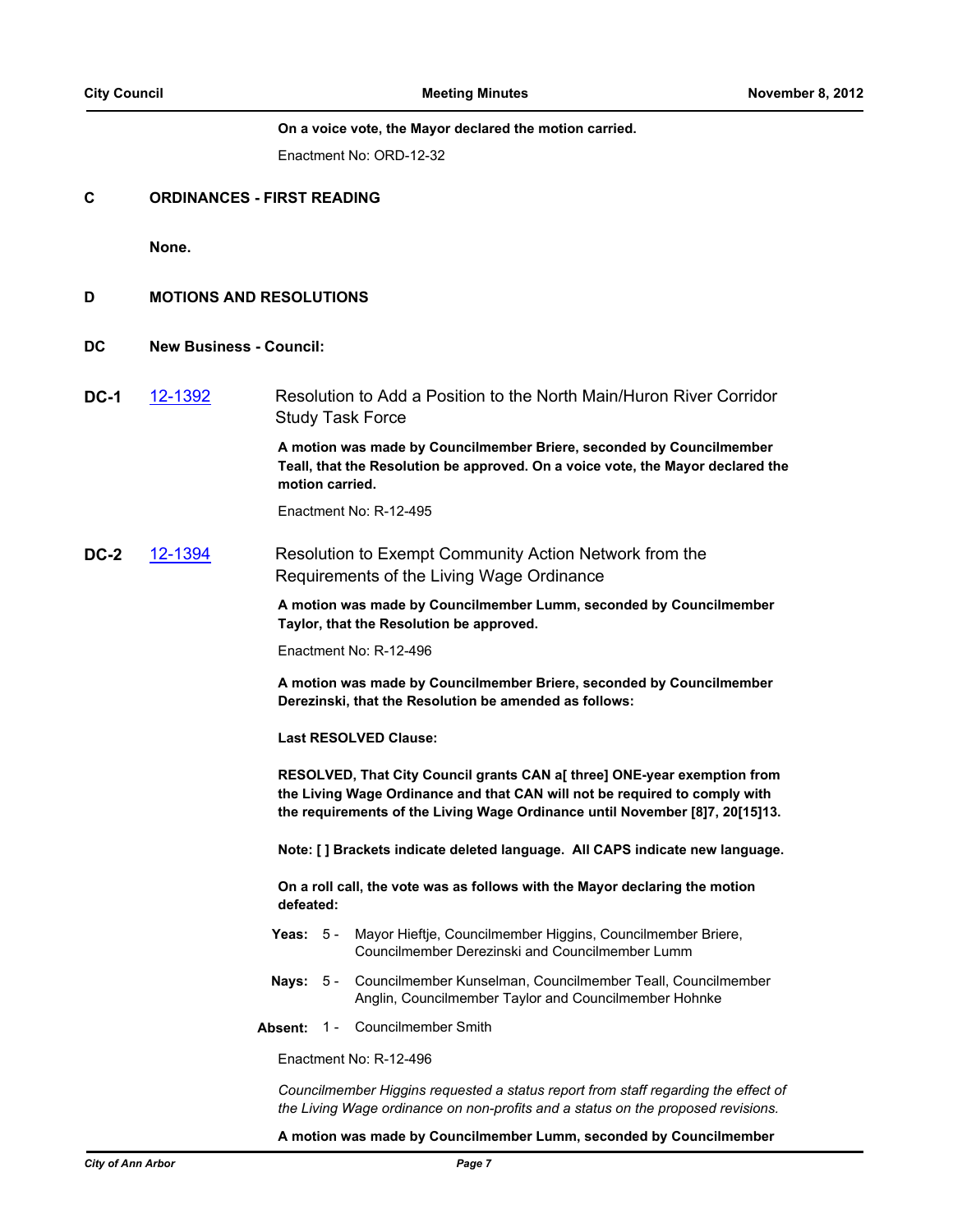#### **On a voice vote, the Mayor declared the motion carried.**

Enactment No: ORD-12-32

#### **C ORDINANCES - FIRST READING**

**None.**

- **D MOTIONS AND RESOLUTIONS**
- **DC New Business Council:**
- **DC-1** [12-1392](http://a2gov.legistar.com/gateway.aspx/matter.aspx?key=9716) Resolution to Add a Position to the North Main/Huron River Corridor Study Task Force

**A motion was made by Councilmember Briere, seconded by Councilmember Teall, that the Resolution be approved. On a voice vote, the Mayor declared the motion carried.**

Enactment No: R-12-495

**DC-2** [12-1394](http://a2gov.legistar.com/gateway.aspx/matter.aspx?key=9719) Resolution to Exempt Community Action Network from the Requirements of the Living Wage Ordinance

> **A motion was made by Councilmember Lumm, seconded by Councilmember Taylor, that the Resolution be approved.**

Enactment No: R-12-496

**A motion was made by Councilmember Briere, seconded by Councilmember Derezinski, that the Resolution be amended as follows:**

**Last RESOLVED Clause:**

**RESOLVED, That City Council grants CAN a[ three] ONE-year exemption from the Living Wage Ordinance and that CAN will not be required to comply with the requirements of the Living Wage Ordinance until November [8]7, 20[15]13.**

**Note: [ ] Brackets indicate deleted language. All CAPS indicate new language.**

**On a roll call, the vote was as follows with the Mayor declaring the motion defeated:**

- **Yeas:** Mayor Hieftje, Councilmember Higgins, Councilmember Briere, Councilmember Derezinski and Councilmember Lumm Yeas:  $5 -$
- **Nays:** Councilmember Kunselman, Councilmember Teall, Councilmember Anglin, Councilmember Taylor and Councilmember Hohnke Nays:  $5 -$
- **Absent:** 1 Councilmember Smith

Enactment No: R-12-496

*Councilmember Higgins requested a status report from staff regarding the effect of the Living Wage ordinance on non-profits and a status on the proposed revisions.*

#### **A motion was made by Councilmember Lumm, seconded by Councilmember**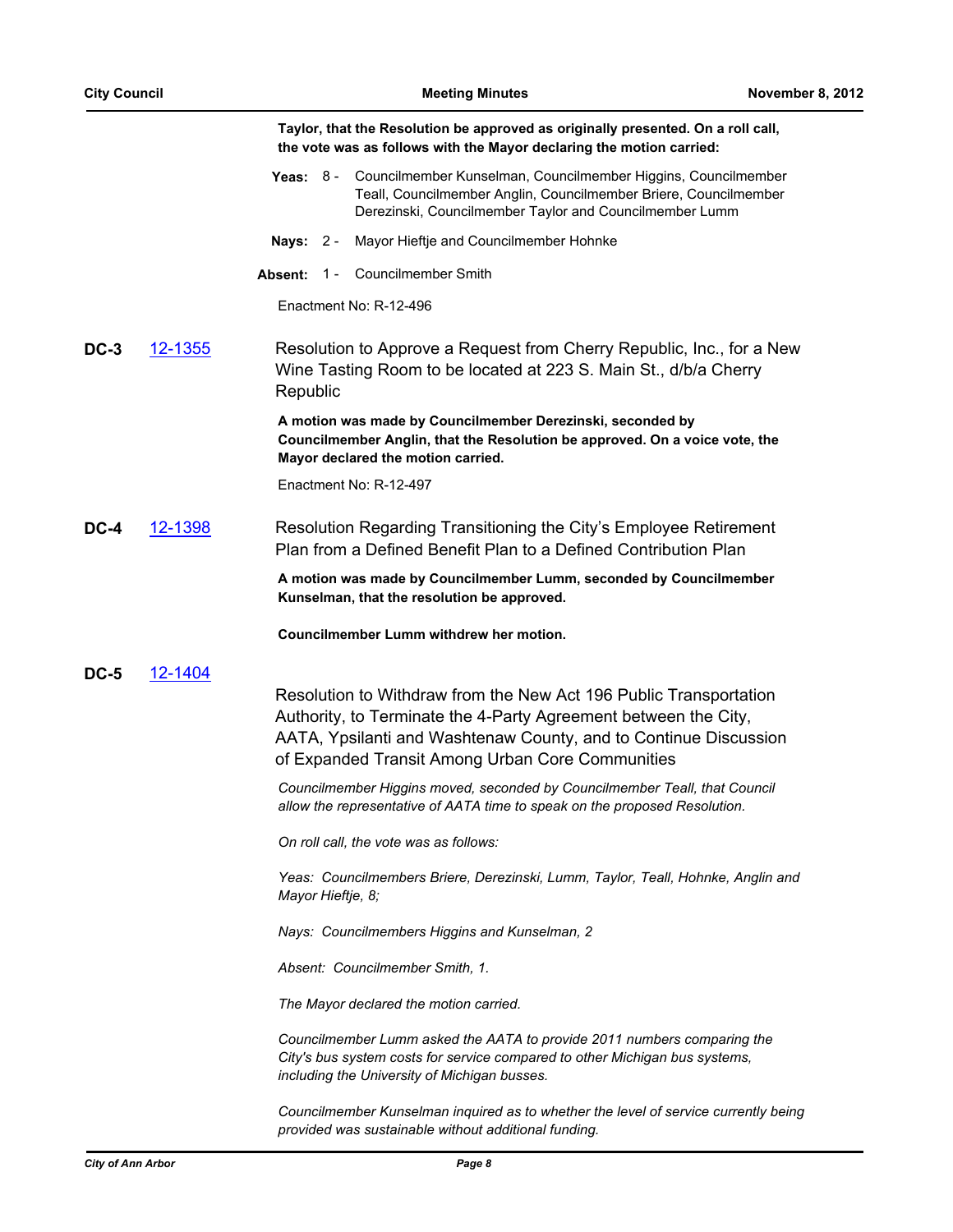|             |                | Taylor, that the Resolution be approved as originally presented. On a roll call,<br>the vote was as follows with the Mayor declaring the motion carried:                                                                                                     |
|-------------|----------------|--------------------------------------------------------------------------------------------------------------------------------------------------------------------------------------------------------------------------------------------------------------|
|             |                | Yeas: 8 - Councilmember Kunselman, Councilmember Higgins, Councilmember<br>Teall, Councilmember Anglin, Councilmember Briere, Councilmember<br>Derezinski, Councilmember Taylor and Councilmember Lumm                                                       |
|             |                | Nays: 2 - Mayor Hieftje and Councilmember Hohnke                                                                                                                                                                                                             |
|             |                | 1 - Councilmember Smith<br><b>Absent:</b>                                                                                                                                                                                                                    |
|             |                | Enactment No: R-12-496                                                                                                                                                                                                                                       |
| <b>DC-3</b> | <u>12-1355</u> | Resolution to Approve a Request from Cherry Republic, Inc., for a New<br>Wine Tasting Room to be located at 223 S. Main St., d/b/a Cherry<br>Republic                                                                                                        |
|             |                | A motion was made by Councilmember Derezinski, seconded by<br>Councilmember Anglin, that the Resolution be approved. On a voice vote, the<br>Mayor declared the motion carried.                                                                              |
|             |                | Enactment No: R-12-497                                                                                                                                                                                                                                       |
| DC-4        | 12-1398        | Resolution Regarding Transitioning the City's Employee Retirement<br>Plan from a Defined Benefit Plan to a Defined Contribution Plan                                                                                                                         |
|             |                | A motion was made by Councilmember Lumm, seconded by Councilmember<br>Kunselman, that the resolution be approved.                                                                                                                                            |
|             |                | Councilmember Lumm withdrew her motion.                                                                                                                                                                                                                      |
| <b>DC-5</b> | 12-1404        | Resolution to Withdraw from the New Act 196 Public Transportation<br>Authority, to Terminate the 4-Party Agreement between the City,<br>AATA, Ypsilanti and Washtenaw County, and to Continue Discussion<br>of Expanded Transit Among Urban Core Communities |
|             |                | Councilmember Higgins moved, seconded by Councilmember Teall, that Council<br>allow the representative of AATA time to speak on the proposed Resolution.                                                                                                     |
|             |                | On roll call, the vote was as follows:                                                                                                                                                                                                                       |
|             |                | Yeas: Councilmembers Briere, Derezinski, Lumm, Taylor, Teall, Hohnke, Anglin and<br>Mayor Hieftje, 8;                                                                                                                                                        |
|             |                | Nays: Councilmembers Higgins and Kunselman, 2                                                                                                                                                                                                                |
|             |                | Absent: Councilmember Smith, 1.                                                                                                                                                                                                                              |
|             |                | The Mayor declared the motion carried.                                                                                                                                                                                                                       |
|             |                | Councilmember Lumm asked the AATA to provide 2011 numbers comparing the<br>City's bus system costs for service compared to other Michigan bus systems,<br>including the University of Michigan busses.                                                       |
|             |                | Councilmember Kunselman inquired as to whether the level of service currently being<br>provided was sustainable without additional funding.                                                                                                                  |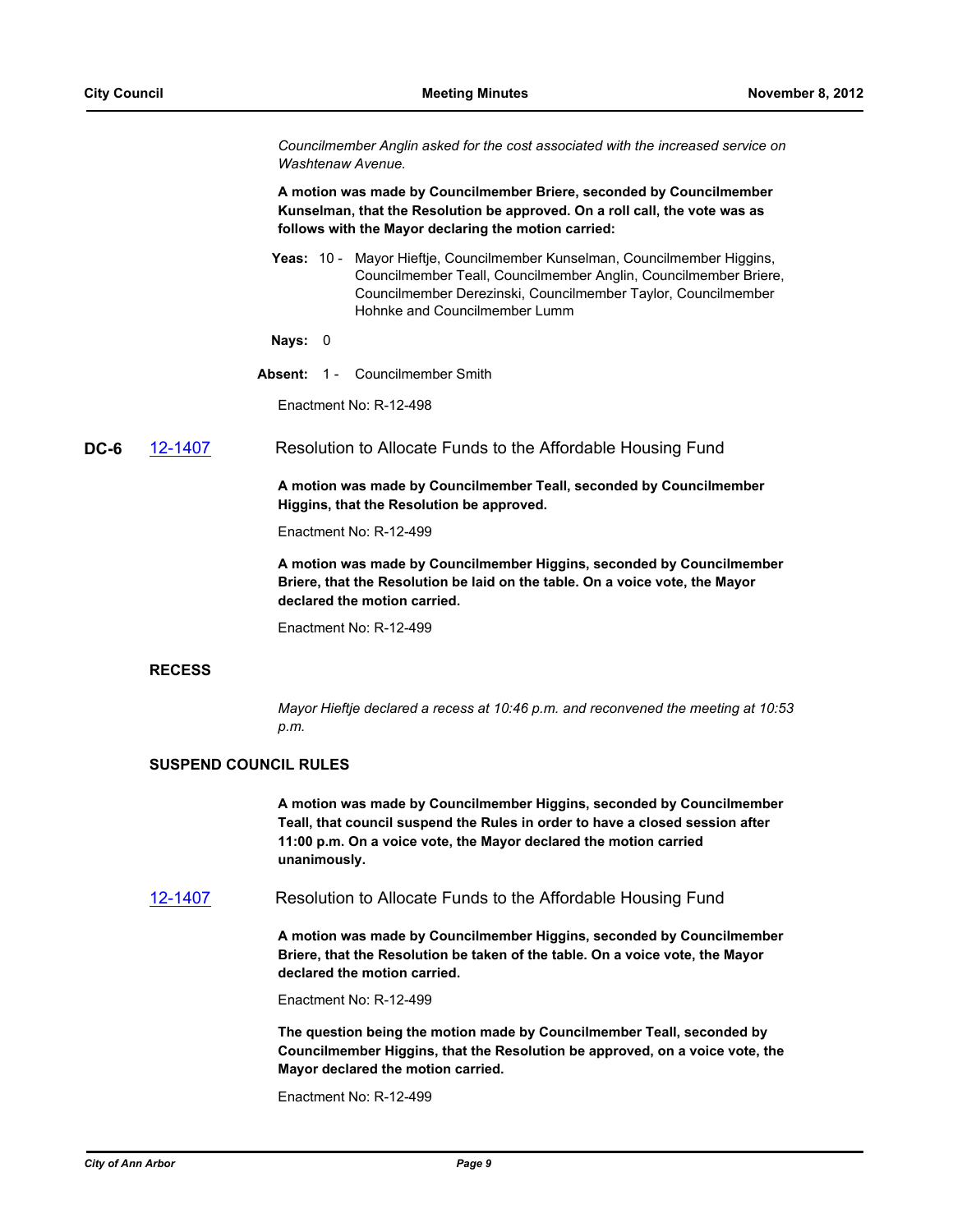*Councilmember Anglin asked for the cost associated with the increased service on Washtenaw Avenue.*

**A motion was made by Councilmember Briere, seconded by Councilmember Kunselman, that the Resolution be approved. On a roll call, the vote was as follows with the Mayor declaring the motion carried:**

Yeas: 10 - Mayor Hieftje, Councilmember Kunselman, Councilmember Higgins, Councilmember Teall, Councilmember Anglin, Councilmember Briere, Councilmember Derezinski, Councilmember Taylor, Councilmember Hohnke and Councilmember Lumm

#### **Nays:** 0

**Absent:** 1 - Councilmember Smith

Enactment No: R-12-498

**DC-6** [12-1407](http://a2gov.legistar.com/gateway.aspx/matter.aspx?key=9735) Resolution to Allocate Funds to the Affordable Housing Fund

**A motion was made by Councilmember Teall, seconded by Councilmember Higgins, that the Resolution be approved.**

Enactment No: R-12-499

**A motion was made by Councilmember Higgins, seconded by Councilmember Briere, that the Resolution be laid on the table. On a voice vote, the Mayor declared the motion carried.**

Enactment No: R-12-499

#### **RECESS**

*Mayor Hieftje declared a recess at 10:46 p.m. and reconvened the meeting at 10:53 p.m.*

#### **SUSPEND COUNCIL RULES**

**A motion was made by Councilmember Higgins, seconded by Councilmember Teall, that council suspend the Rules in order to have a closed session after 11:00 p.m. On a voice vote, the Mayor declared the motion carried unanimously.**

[12-1407](http://a2gov.legistar.com/gateway.aspx/matter.aspx?key=9735) Resolution to Allocate Funds to the Affordable Housing Fund

**A motion was made by Councilmember Higgins, seconded by Councilmember Briere, that the Resolution be taken of the table. On a voice vote, the Mayor declared the motion carried.**

Enactment No: R-12-499

**The question being the motion made by Councilmember Teall, seconded by Councilmember Higgins, that the Resolution be approved, on a voice vote, the Mayor declared the motion carried.**

Enactment No: R-12-499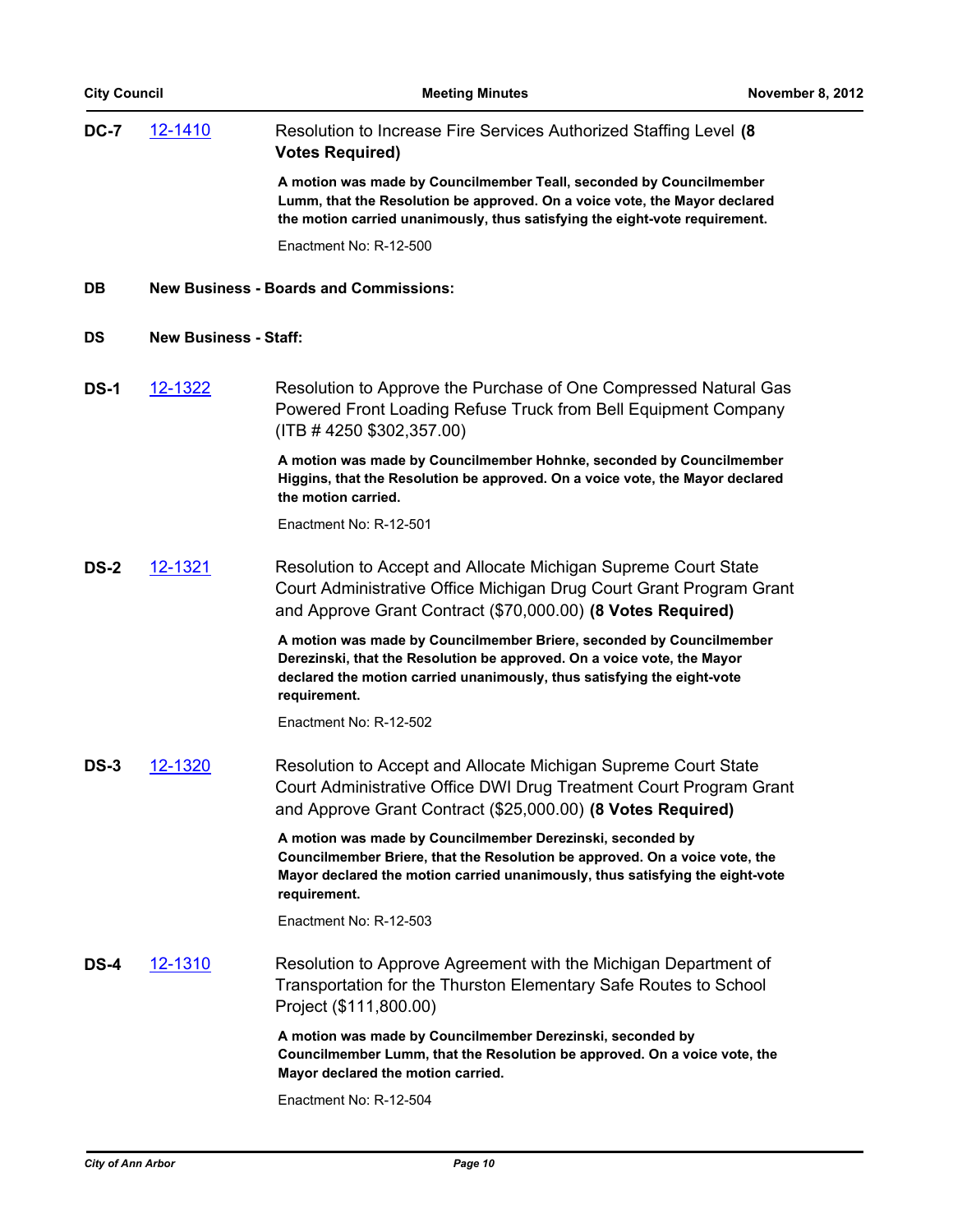| <b>City Council</b> |                              | <b>Meeting Minutes</b>                                                                                                                                                                                                                     | November 8, 2012 |
|---------------------|------------------------------|--------------------------------------------------------------------------------------------------------------------------------------------------------------------------------------------------------------------------------------------|------------------|
| DC-7                | <u>12-1410</u>               | Resolution to Increase Fire Services Authorized Staffing Level (8)<br><b>Votes Required)</b>                                                                                                                                               |                  |
|                     |                              | A motion was made by Councilmember Teall, seconded by Councilmember<br>Lumm, that the Resolution be approved. On a voice vote, the Mayor declared<br>the motion carried unanimously, thus satisfying the eight-vote requirement.           |                  |
|                     |                              | Enactment No: R-12-500                                                                                                                                                                                                                     |                  |
| <b>DB</b>           |                              | <b>New Business - Boards and Commissions:</b>                                                                                                                                                                                              |                  |
| DS                  | <b>New Business - Staff:</b> |                                                                                                                                                                                                                                            |                  |
| <b>DS-1</b>         | 12-1322                      | Resolution to Approve the Purchase of One Compressed Natural Gas<br>Powered Front Loading Refuse Truck from Bell Equipment Company<br>$($ ITB # 4250 \$302,357.00)                                                                         |                  |
|                     |                              | A motion was made by Councilmember Hohnke, seconded by Councilmember<br>Higgins, that the Resolution be approved. On a voice vote, the Mayor declared<br>the motion carried.                                                               |                  |
|                     |                              | Enactment No: R-12-501                                                                                                                                                                                                                     |                  |
| DS-2                | 12-1321                      | Resolution to Accept and Allocate Michigan Supreme Court State<br>Court Administrative Office Michigan Drug Court Grant Program Grant<br>and Approve Grant Contract (\$70,000.00) (8 Votes Required)                                       |                  |
|                     |                              | A motion was made by Councilmember Briere, seconded by Councilmember<br>Derezinski, that the Resolution be approved. On a voice vote, the Mayor<br>declared the motion carried unanimously, thus satisfying the eight-vote<br>requirement. |                  |
|                     |                              | Enactment No: R-12-502                                                                                                                                                                                                                     |                  |
| DS-3                | 12-1320                      | Resolution to Accept and Allocate Michigan Supreme Court State<br>Court Administrative Office DWI Drug Treatment Court Program Grant<br>and Approve Grant Contract (\$25,000.00) (8 Votes Required)                                        |                  |
|                     |                              | A motion was made by Councilmember Derezinski, seconded by<br>Councilmember Briere, that the Resolution be approved. On a voice vote, the<br>Mayor declared the motion carried unanimously, thus satisfying the eight-vote<br>requirement. |                  |
|                     |                              | Enactment No: R-12-503                                                                                                                                                                                                                     |                  |
| <b>DS-4</b>         | <u>12-1310</u>               | Resolution to Approve Agreement with the Michigan Department of<br>Transportation for the Thurston Elementary Safe Routes to School<br>Project (\$111,800.00)                                                                              |                  |
|                     |                              | A motion was made by Councilmember Derezinski, seconded by<br>Councilmember Lumm, that the Resolution be approved. On a voice vote, the<br>Mayor declared the motion carried.                                                              |                  |
|                     |                              | Enactment No: R-12-504                                                                                                                                                                                                                     |                  |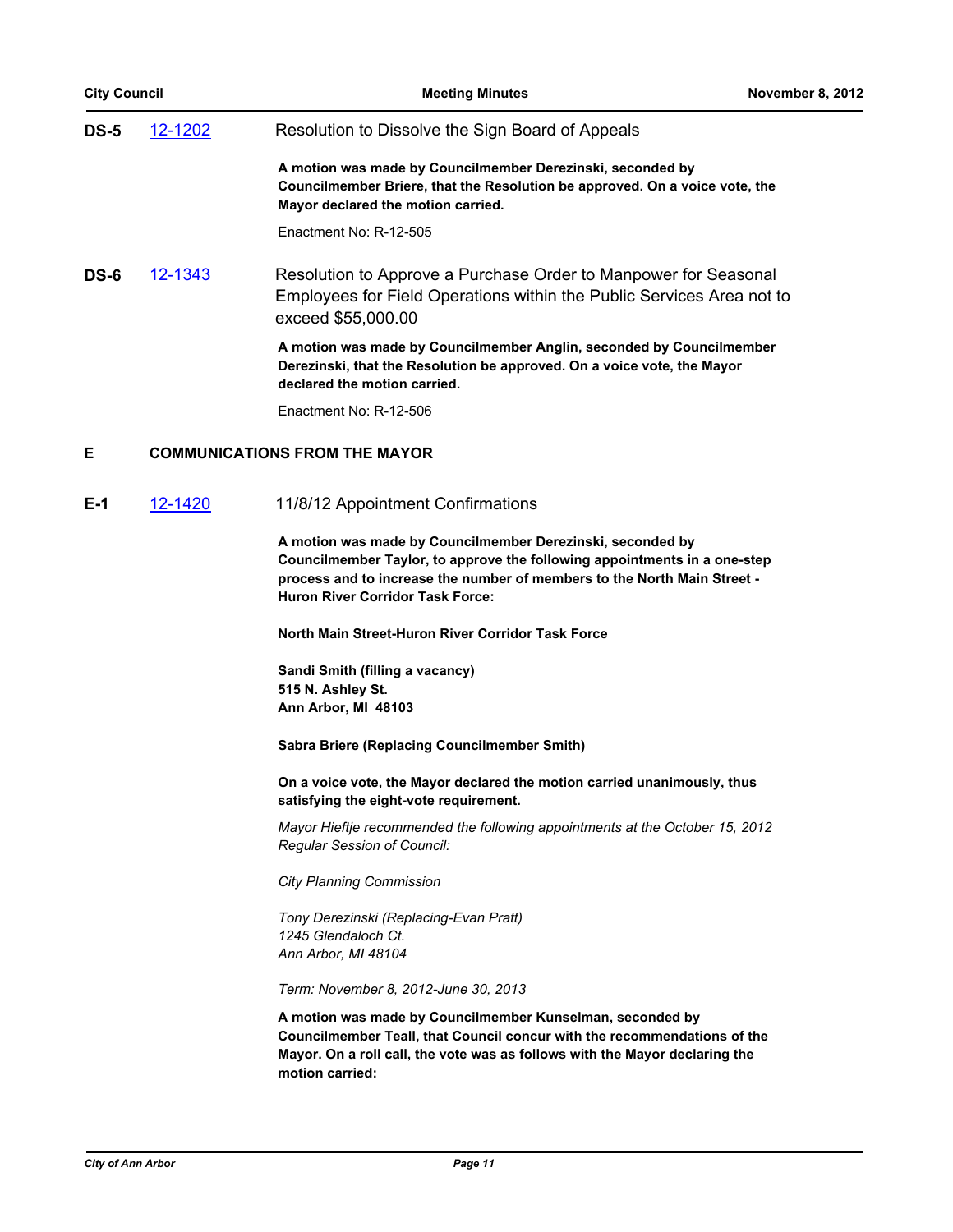| <b>City Council</b> | <b>Meeting Minutes</b>                                                                                                                                                          | <b>November 8, 2012</b>              |
|---------------------|---------------------------------------------------------------------------------------------------------------------------------------------------------------------------------|--------------------------------------|
| 12-1202             | Resolution to Dissolve the Sign Board of Appeals                                                                                                                                |                                      |
|                     | A motion was made by Councilmember Derezinski, seconded by<br>Councilmember Briere, that the Resolution be approved. On a voice vote, the<br>Mayor declared the motion carried. |                                      |
|                     | Enactment No: R-12-505                                                                                                                                                          |                                      |
| 12-1343             | Resolution to Approve a Purchase Order to Manpower for Seasonal<br>Employees for Field Operations within the Public Services Area not to<br>exceed \$55,000.00                  |                                      |
|                     | A motion was made by Councilmember Anglin, seconded by Councilmember<br>Derezinski, that the Resolution be approved. On a voice vote, the Mayor<br>declared the motion carried. |                                      |
|                     | Enactment No: R-12-506                                                                                                                                                          |                                      |
|                     |                                                                                                                                                                                 |                                      |
| 12-1420             | 11/8/12 Appointment Confirmations                                                                                                                                               |                                      |
|                     |                                                                                                                                                                                 | <b>COMMUNICATIONS FROM THE MAYOR</b> |

**A motion was made by Councilmember Derezinski, seconded by Councilmember Taylor, to approve the following appointments in a one-step process and to increase the number of members to the North Main Street - Huron River Corridor Task Force:**

**North Main Street-Huron River Corridor Task Force**

**Sandi Smith (filling a vacancy) 515 N. Ashley St. Ann Arbor, MI 48103**

**Sabra Briere (Replacing Councilmember Smith)**

**On a voice vote, the Mayor declared the motion carried unanimously, thus satisfying the eight-vote requirement.**

*Mayor Hieftje recommended the following appointments at the October 15, 2012 Regular Session of Council:*

*City Planning Commission*

*Tony Derezinski (Replacing-Evan Pratt) 1245 Glendaloch Ct. Ann Arbor, MI 48104*

*Term: November 8, 2012-June 30, 2013*

**A motion was made by Councilmember Kunselman, seconded by Councilmember Teall, that Council concur with the recommendations of the Mayor. On a roll call, the vote was as follows with the Mayor declaring the motion carried:**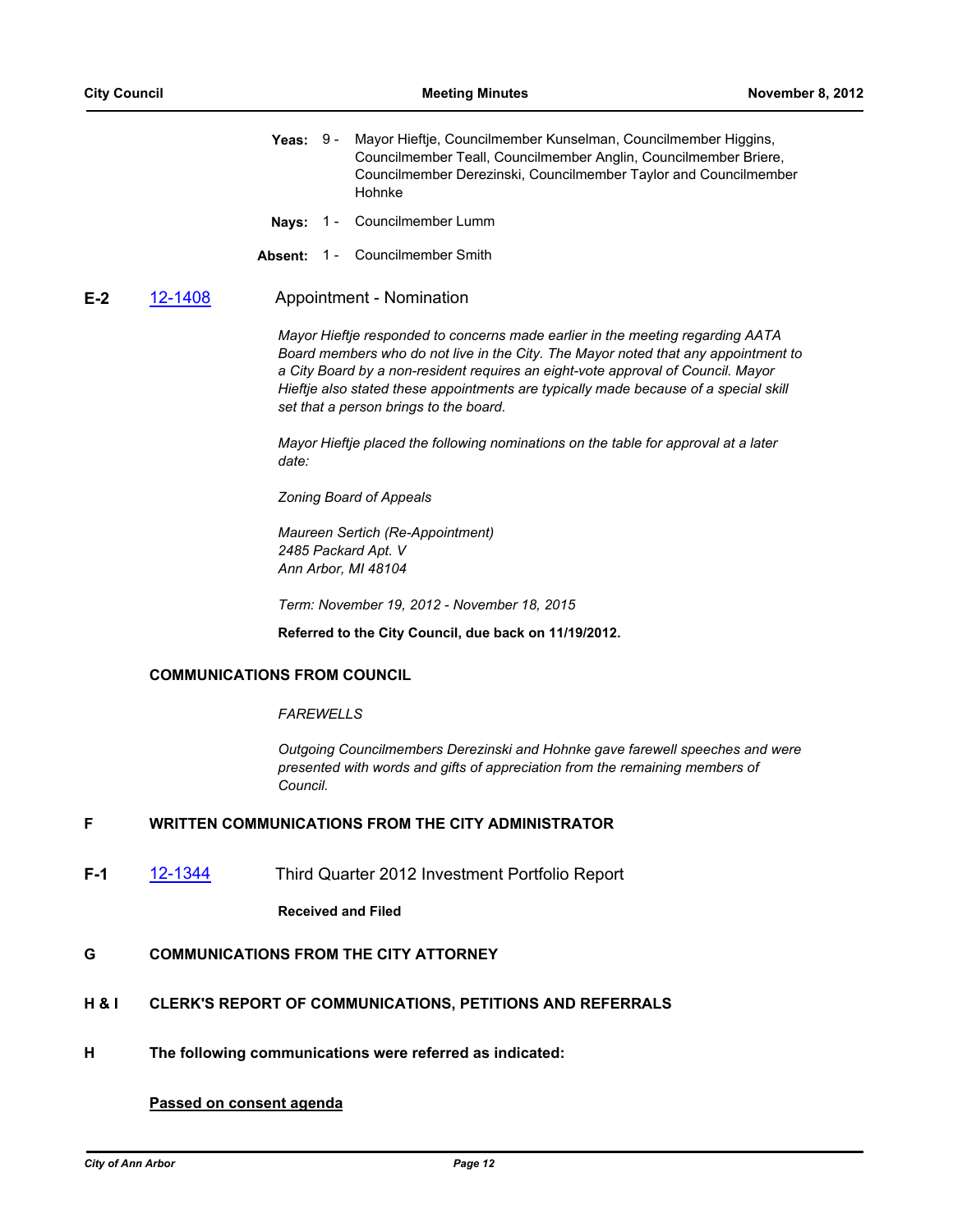- **Yeas:** Mayor Hieftje, Councilmember Kunselman, Councilmember Higgins, Councilmember Teall, Councilmember Anglin, Councilmember Briere, Councilmember Derezinski, Councilmember Taylor and Councilmember Hohnke Yeas:  $9 -$
- **Nays:** 1 Councilmember Lumm
- **Absent:** 1 Councilmember Smith

#### **E-2** [12-1408](http://a2gov.legistar.com/gateway.aspx/matter.aspx?key=9734) Appointment - Nomination

*Mayor Hieftje responded to concerns made earlier in the meeting regarding AATA Board members who do not live in the City. The Mayor noted that any appointment to a City Board by a non-resident requires an eight-vote approval of Council. Mayor Hieftje also stated these appointments are typically made because of a special skill set that a person brings to the board.* 

*Mayor Hieftje placed the following nominations on the table for approval at a later date:*

*Zoning Board of Appeals*

*Maureen Sertich (Re-Appointment) 2485 Packard Apt. V Ann Arbor, MI 48104*

*Term: November 19, 2012 - November 18, 2015*

**Referred to the City Council, due back on 11/19/2012.**

#### **COMMUNICATIONS FROM COUNCIL**

#### *FAREWELLS*

*Outgoing Councilmembers Derezinski and Hohnke gave farewell speeches and were presented with words and gifts of appreciation from the remaining members of Council.*

# **F WRITTEN COMMUNICATIONS FROM THE CITY ADMINISTRATOR**

**F-1** [12-1344](http://a2gov.legistar.com/gateway.aspx/matter.aspx?key=9662) Third Quarter 2012 Investment Portfolio Report

**Received and Filed**

# **G COMMUNICATIONS FROM THE CITY ATTORNEY**

- **H & I CLERK'S REPORT OF COMMUNICATIONS, PETITIONS AND REFERRALS**
- **H The following communications were referred as indicated:**

## **Passed on consent agenda**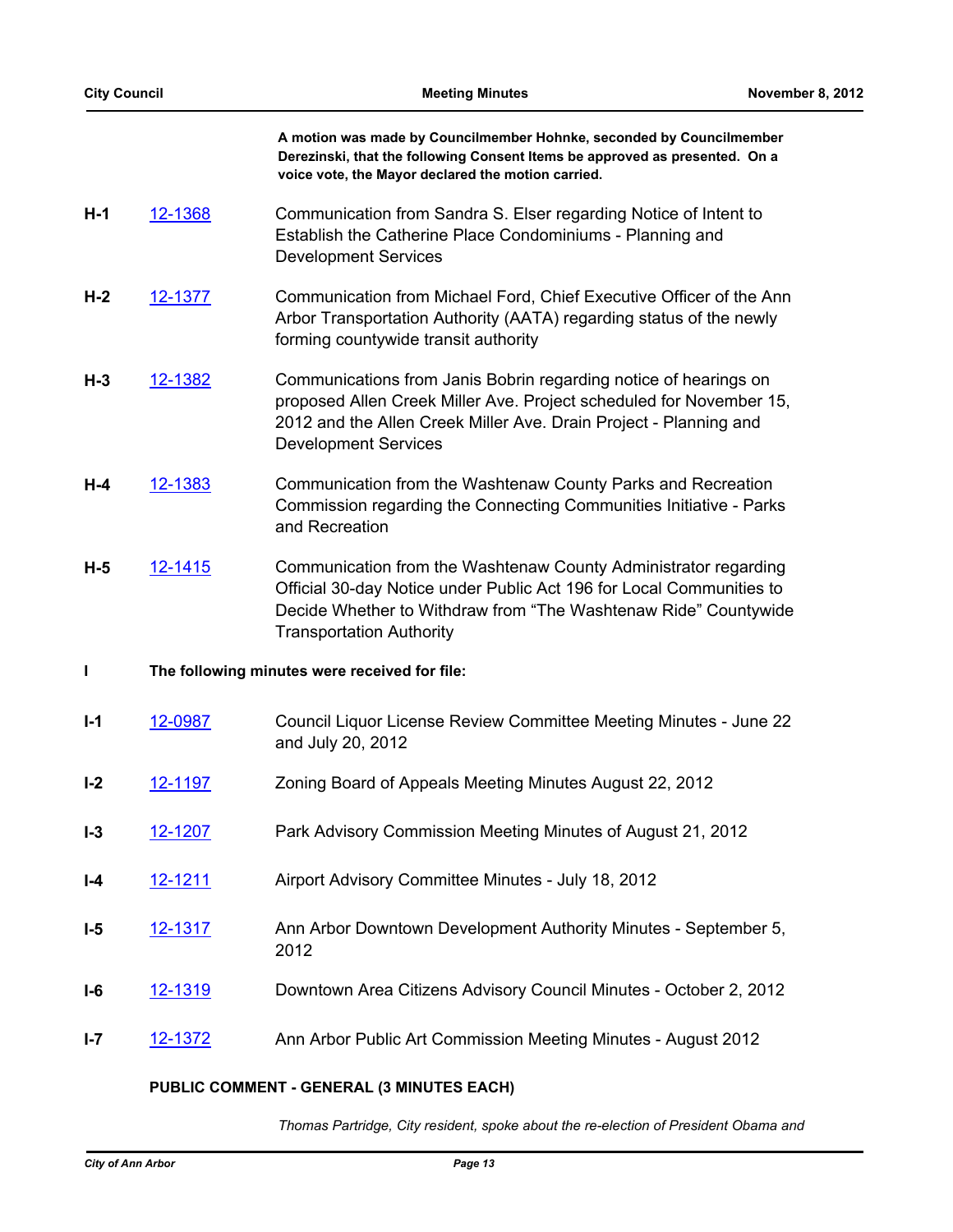| <b>City Council</b> |                | <b>Meeting Minutes</b>                                                                                                                                                                                                                        | November 8, 2012 |
|---------------------|----------------|-----------------------------------------------------------------------------------------------------------------------------------------------------------------------------------------------------------------------------------------------|------------------|
|                     |                | A motion was made by Councilmember Hohnke, seconded by Councilmember<br>Derezinski, that the following Consent Items be approved as presented. On a<br>voice vote, the Mayor declared the motion carried.                                     |                  |
| $H-1$               | 12-1368        | Communication from Sandra S. Elser regarding Notice of Intent to<br>Establish the Catherine Place Condominiums - Planning and<br><b>Development Services</b>                                                                                  |                  |
| $H-2$               | 12-1377        | Communication from Michael Ford, Chief Executive Officer of the Ann<br>Arbor Transportation Authority (AATA) regarding status of the newly<br>forming countywide transit authority                                                            |                  |
| $H-3$               | 12-1382        | Communications from Janis Bobrin regarding notice of hearings on<br>proposed Allen Creek Miller Ave. Project scheduled for November 15,<br>2012 and the Allen Creek Miller Ave. Drain Project - Planning and<br><b>Development Services</b>   |                  |
| H-4                 | 12-1383        | Communication from the Washtenaw County Parks and Recreation<br>Commission regarding the Connecting Communities Initiative - Parks<br>and Recreation                                                                                          |                  |
| $H-5$               | 12-1415        | Communication from the Washtenaw County Administrator regarding<br>Official 30-day Notice under Public Act 196 for Local Communities to<br>Decide Whether to Withdraw from "The Washtenaw Ride" Countywide<br><b>Transportation Authority</b> |                  |
| $\mathbf{I}$        |                | The following minutes were received for file:                                                                                                                                                                                                 |                  |
| $I-1$               | 12-0987        | Council Liquor License Review Committee Meeting Minutes - June 22<br>and July 20, 2012                                                                                                                                                        |                  |
| $I-2$               | 12-1197        | Zoning Board of Appeals Meeting Minutes August 22, 2012                                                                                                                                                                                       |                  |
| $I - 3$             | 12-1207        | Park Advisory Commission Meeting Minutes of August 21, 2012                                                                                                                                                                                   |                  |
| $I - 4$             | <u>12-1211</u> | Airport Advisory Committee Minutes - July 18, 2012                                                                                                                                                                                            |                  |
| $I-5$               | 12-1317        | Ann Arbor Downtown Development Authority Minutes - September 5,<br>2012                                                                                                                                                                       |                  |
| $I-6$               | 12-1319        | Downtown Area Citizens Advisory Council Minutes - October 2, 2012                                                                                                                                                                             |                  |
| $I - 7$             | 12-1372        | Ann Arbor Public Art Commission Meeting Minutes - August 2012                                                                                                                                                                                 |                  |
|                     |                | CENEDAL (2 MINILITEC EACH)<br>IC COMMENT                                                                                                                                                                                                      |                  |

 $\sim$ 

# **PUBLIC COMMENT - GENERAL (3 MINUTES EACH)**

*Thomas Partridge, City resident, spoke about the re-election of President Obama and*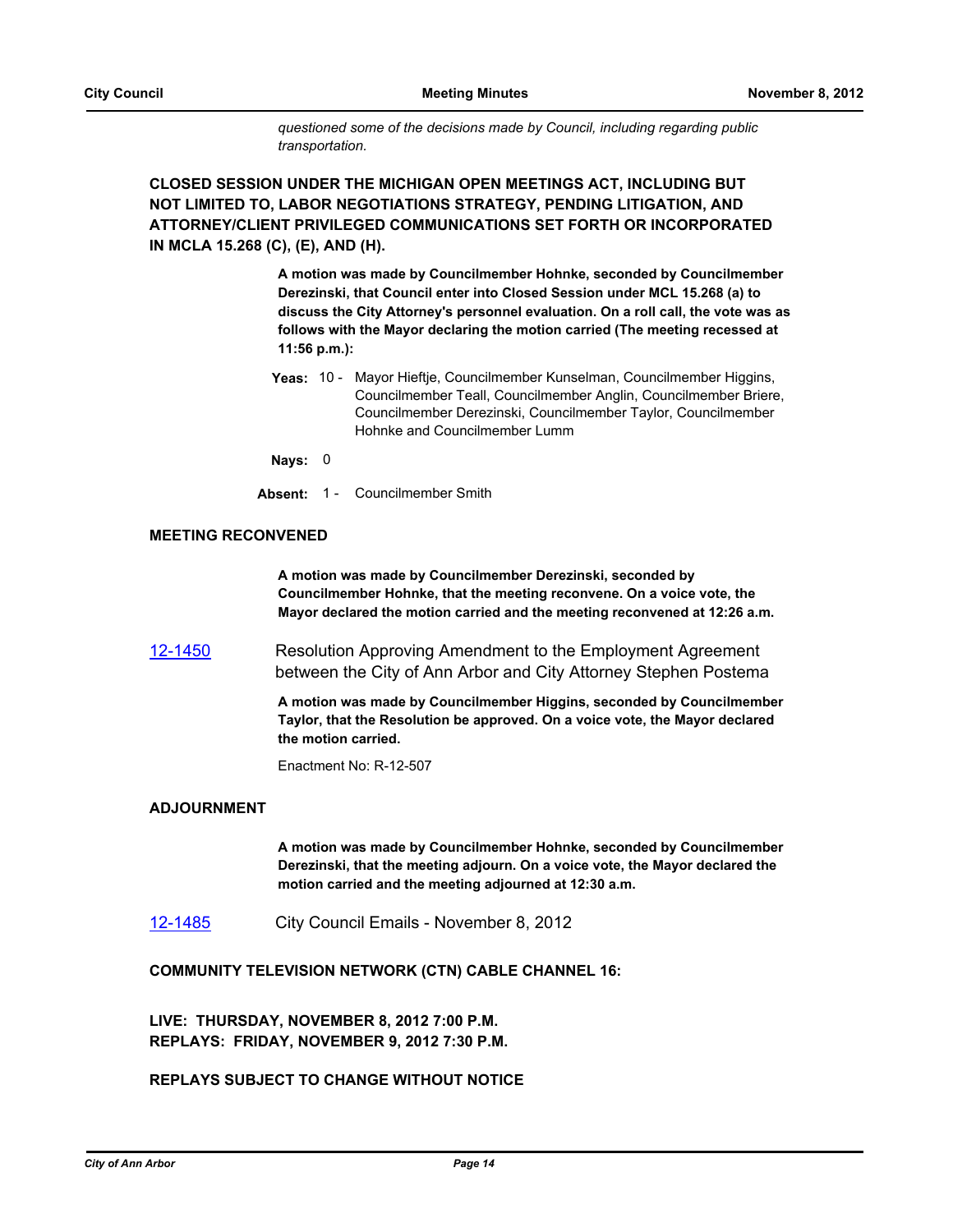*questioned some of the decisions made by Council, including regarding public transportation.*

**CLOSED SESSION UNDER THE MICHIGAN OPEN MEETINGS ACT, INCLUDING BUT NOT LIMITED TO, LABOR NEGOTIATIONS STRATEGY, PENDING LITIGATION, AND ATTORNEY/CLIENT PRIVILEGED COMMUNICATIONS SET FORTH OR INCORPORATED IN MCLA 15.268 (C), (E), AND (H).**

> **A motion was made by Councilmember Hohnke, seconded by Councilmember Derezinski, that Council enter into Closed Session under MCL 15.268 (a) to discuss the City Attorney's personnel evaluation. On a roll call, the vote was as follows with the Mayor declaring the motion carried (The meeting recessed at 11:56 p.m.):**

Yeas: 10 - Mayor Hieftje, Councilmember Kunselman, Councilmember Higgins, Councilmember Teall, Councilmember Anglin, Councilmember Briere, Councilmember Derezinski, Councilmember Taylor, Councilmember Hohnke and Councilmember Lumm

**Nays:** 0

**Absent:** 1 - Councilmember Smith

#### **MEETING RECONVENED**

**A motion was made by Councilmember Derezinski, seconded by Councilmember Hohnke, that the meeting reconvene. On a voice vote, the Mayor declared the motion carried and the meeting reconvened at 12:26 a.m.**

[12-1450](http://a2gov.legistar.com/gateway.aspx/matter.aspx?key=9772) Resolution Approving Amendment to the Employment Agreement between the City of Ann Arbor and City Attorney Stephen Postema

> **A motion was made by Councilmember Higgins, seconded by Councilmember Taylor, that the Resolution be approved. On a voice vote, the Mayor declared the motion carried.**

Enactment No: R-12-507

# **ADJOURNMENT**

**A motion was made by Councilmember Hohnke, seconded by Councilmember Derezinski, that the meeting adjourn. On a voice vote, the Mayor declared the motion carried and the meeting adjourned at 12:30 a.m.**

[12-1485](http://a2gov.legistar.com/gateway.aspx/matter.aspx?key=9812) City Council Emails - November 8, 2012

**COMMUNITY TELEVISION NETWORK (CTN) CABLE CHANNEL 16:**

**LIVE: THURSDAY, NOVEMBER 8, 2012 7:00 P.M. REPLAYS: FRIDAY, NOVEMBER 9, 2012 7:30 P.M.**

# **REPLAYS SUBJECT TO CHANGE WITHOUT NOTICE**